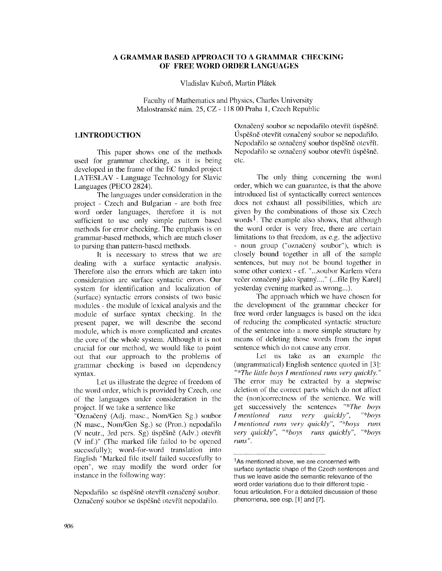## **A GRAMMAR BASED APPROACH TO A GRAMMAR CHECKING OF FREE WORD ORDER LANGUAGES**

Vladislav Kuboň, Martin Plátek

Faculty of Mathematics and Physics, Charles University Malostranské nám. 25, CZ - 118 00 Praha 1, Czech Republic

### **1.INTRODUCTION**

This paper shows one of the methods used for grammar checking, as it is being developed in the frame of the EC funded project LATESLAV - Language Technology for Slavic Languages (PECO 2824).

The languages under consideration in the project - Czech and Bulgarian - are both free word order languages, therefore it is not sufficient to use only simple pattern based methods for error checking. The emphasis is on grammar-based methods, which are much closer to parsing than pattern-based methods.

It is necessary to stress that we are dealing with a surface syntactic analysis. Therefore also the errors which are taken into consideration are surface syntactic errors. Our system for identification and localization of (surface) syntactic errors consists of two basic modules - the module of lexical analysis and the module of surface syntax checking. In the present paper, we will describe the second module, which is more complicated and creates the core of the whole system. Although it is not crucial for our method, we would like to point out that our approach to the problems of grammar checking is based on dependency syntax.

Let us illustrate the degree of freedom of the word order, which is provided by Czech, one of the languages under consideration in the project. If we take a sentence like

"Označený (Adj. masc., Nom/Gen Sg.) soubor (N masc., Nom/Gen Sg.) se (Pron.) nepodafilo (V neutr.,  $3rd$  pers.  $Sg$ ) úspěšně  $(Adv.)$  otevřít (V inf.)" (The marked file failed to be opened sucessfully); word-for-word translation into English "Marked file itself failed succesfully to open", we may modify the word order for instance in the following way:

Nepodařilo se úspěšně otevřít označený soubor. Označený soubor se úspěšně otevřít nepodařilo.

Označený soubor se nepodařilo otevřít úspěšně. Úspěšně otevřít označený soubor se nepodařilo. Nepodařilo se označený soubor úspěšně otevřít. Nepodařilo se označený soubor otevřít úspěšně. etc.

The only thing concerning the word order, which we can guarantee, is that the above introduced list of syntactically correct sentences does not exhaust all possibilities, which arc given by the combinations of those six Czech words<sup>1</sup>. The example also shows, that although the word order is very free, there are certain limitations to that freedom, as e.g. the adjective - noun group ("označený soubor"), which is closely bound together in all of the sample sentences, but may not be bound together in some other context - cf. "...soubor Karlem včera večer označený jako špatný...." (...file [by Karel] yesterday evening marked as wrong...).

The approach which we have chosen for the development of the grammar checker for free word order languages is based on the idea of reducing the complicated syntactic structure of the sentence into a more simple structure by means of deleting those words from the input sentence which do not cause any error.

Let us take as an example the (ungrammatical) English sentence quoted in [31: "\*The little boys I mentioned runs very quickly." The error may be extracted by a stepwise deletion of the correct parts which do not affect the (non)correctness of the sentence. We will get successively the sentences *"\*The boys I* mentioned runs very *Imentioned runs very quickly', "\*boys runs very quickly", "\*boys runs quickly", "\*boys furls ".* 

<sup>&</sup>lt;sup>1</sup>As mentioned above, we are concerned with surface syntactic shape of the Czech sentences and thus we leave aside the semantic relevance of the word order variations due to their different topic focus articulation. For a detailed discussion of these phenomena, see esp. [1] and [7].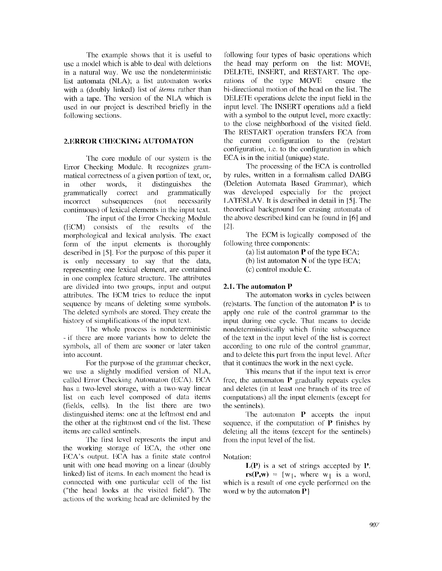The example shows that it is useful to use a model which is able to deal with deletions in a natural way. We use the nondeterministic list automata (NLA); a list automaton works with a (doubly linked) list of *items* rather than with a tape. The version of the NLA which is used in our project is described briefly in the tollowing sections.

#### **2.ERROR CHECKING AUTOMATON**

The core module of our system is the Error: Checking Module. It recognizes grammatical correctness of a given portion of text, or, in other words, it distinguishes the grammatically correct and grammatically incorrect subsequences (not necessarily continuous) of lexical elements in the input text.

The input of the Error Checking Module (ECM) consists of the results of the morphological and lexical analysis. The exact form of the input elements is thoroughly described in  $[5]$ . For the purpose of this paper it is only necessary to say that the data, representing one lexical element, are contained in one complex feature structure. The attributes are divided into two groups, input and output attributes. The ECM tries to reduce the input sequence by means of deleting some symbols. The deleted symbols are stored. They create the history of simplifications of the input text.

The whole process is nondeterministic -if there are more variants how to delete the symbols, all of them are sooner or later taken into account.

For the purpose of the grammar checker, we use a slightly modified version of NI,A, called Error Checking Automaton (ECA). ECA has a two-level storage, with a two-way linear list on each level composed of data items  $(fields, cells)$ . In the list there are two distinguished items: one at the leflmost end and the other at the rightmost end of the list. These items are called sentinels.

The first level represents the input and the working storage of ECA, the other one ECA's output. ECA has a finite state control unit with one head moving on a linear (doubly linked) list of items. In each moment the head is connected with one particular cell of the list ("the head looks at the visited field"). The actions of the working head are delimited by the

following four types of basic operations which the head may perform on the list: MOVE, DELETE, INSERT, and RESTART. The operations of the type MOVE ensure the bi-directional motion of the head on the list. The I)ELETE operations delete the input field in the input level. The INSERT operations add a field with a symbol to the output level, more exactly: to the close neighborhood of the visited field. The RESTART operation transfers ECA from the current configuration to the (re)start configuration, i.e. to the configuration in which ECA is in the initial (unique) state.

The processing of the ECA is controlled by rules, written in a formalism called DABG (Deletion Automata Based Grammar), which was developed especially for the project I,ATESLAV. It is described in detail in 151. The theoretical background for erasing automata of the above described kind can be found in  $[6]$  and 121.

The ECM is logically composed of the following three components:

(a) list automaton  $P$  of the type ECA;

(b) list automaton N of the type ECA;

(c) control module C.

## **2.1. The automaton P**

The automaton works in cycles between (re)starts. The function of the automaton  $P$  is to apply one rule of the control grammar to the input during one cycle. That means to decide nondeterministically which finite subsequence of the text in the input level of the list is correct according to one rule of the control grammar, and to delete this part from the input level. After: that it continues the work in the next cycle.

This means that if the input text is error free, the automaton  $P$  gradually repeats cycles and deletes (in at least one branch of its tree of computations) all the input elements (except for the sentinels).

The automaton **P** accepts the input sequence, if the computation of  $\tilde{P}$  finishes by deleting all the items (except for the sentinels) from the input level of the list.

Notation:

 $L(P)$  is a set of strings accepted by  $P$ .  $rs(P,w) = \{w_1, \text{ where } w_1 \text{ is a word,}$ which is a result of one cycle performed on the word w by the automaton  $P$  }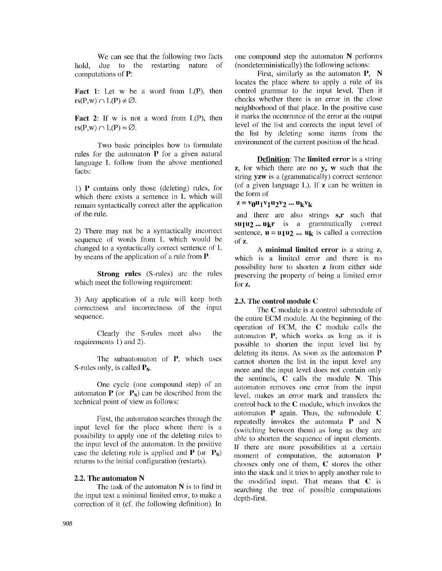We can see that the following two facts hold, due to the restarting nature of computations of P:

**Fact 1:** Let  $w$  be a word from  $L(P)$ , then  $rs(P,w) \cap L(P) \neq \emptyset$ .

**Fact 2:** If w is not a word from  $L(P)$ , then  $rs(P,w) \cap L(P) = \emptyset$ .

Two basic principles how to formulate rules for the automaton P for a given natural language L follow from the above mentioned facts:

1) P contains only those (deleting) rules, for which there exists a sentence in L which will remain syntactically correct after the application of the rule.

2) There may not be a syntactically incorrect sequence of words from L which would be changed to a syntactically correct sentence of L by means of the application of a rule from  $P$ .

**Strong rules** (S-rules) are the rules which meet the following requirement:

3) Any application of a rule will keep both correctness and incorrectness of the input sequence.

Clearly the S-rules meet also the requirements 1) and 2).

The subautomaton of **P**, which uses S-rules only, is called  $P_s$ .

One cycle (one compound step) of an automaton  $P$  (or  $P_s$ ) can be described from the technical point of view as follows:

First, the automaton searches through the input level for the place where there is a possibility to apply one of the deleting rules to the input level of the automaton. In the positive case the deleting rule is applied and  $P$  (or  $P_s$ ) returns to the initial configuration (restarts).

#### **2.2. The automaton N**

The task of the automaton  $N$  is to find in the input text a minimal limited error, to make a correction of it (cf. the following definition). In

one compound step the automaton  $N$  performs (nondeterministically) the following actions:

First, similarly as the automaton P, N locates the place where to apply a rule of its control grammar to the input level. Then it checks whether there is an error in the close neighborhood of that place. In the positive case it marks the occurrence of the error at the output level of the list and corrects the input level of the list by deleting some items from the environment of the current position of the head.

**Definition:** The **limited error** is a string  $z$ , for which there are no  $y$ , w such that the string yzw is a (grammatically) correct sentence (of a given language  $L$ ). If  $z$  can be written in the form of

# $z = v_0 u_1 v_1 u_2 v_2 ... u_k v_k$

and there are also strings s,r such that **SU1U2... ukr** is a grammatically correct sentence,  $\mathbf{u} = \mathbf{u}_1 \mathbf{u}_2 \dots \mathbf{u}_k$  is called a correction of Z.

A minimal limited error is a string z, which is a limited error and there is no possibility how to shorten z from either side preserving the property of being a limited error for z.

#### **2.3. The control module C**

The C module is a control submodule of the entire ECM module. At the beginning of the operation of ECM, the C module calls the automaton P, which works as long as it is possible to shorten the input level list by deleting its items. As soon as the automaton P cannot shorten the list in the input level any more and the input level does not contain only the sentinels, C calls the module N. This automaton removes one error from the input level, makes an error mark and transfers the control back to the C module, which invokes the automaton P again. Thus, the submodule C repeatedly invokes the automata P and N (switching between them) as long as they are able to shorten the sequence of input elements. ff there are more possibilities at a certain moment of computation, the automaton P chooses only one of them, C stores the other into the stack and it tries to apply another rule to the modified input. That means that C is searching the tree of possible computations depth-first.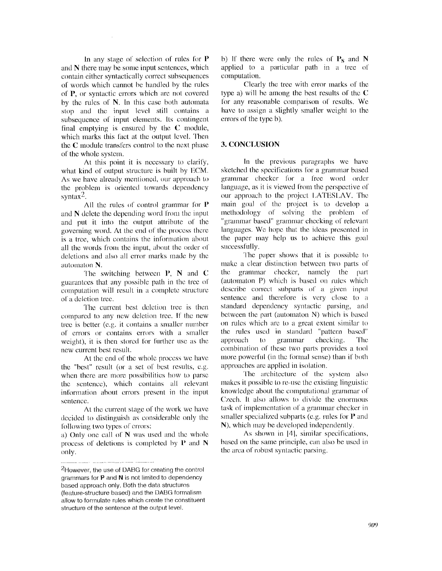In any stage of selection of rules for  $P$ and N there may be some input sentences, which contain either syntactically correct subsequences of words which cannot be handled by the rules of P, or syntactic errors which are not covered by the rules of  $N$ . In this case both automata stop and thc input level still contains a subsequence of input elements. Its contingent final emptying is ensured by lhe C module, which marks this fact at the output level. Then the C module transfers control to the next phase of the whole system.

At this point it is ncccssary to clarify, what kind of output structure is built by ECM. As we have already mentioned, our approach to the problem is oriented towards dependency synta $x^2$ .

All the rules of control grammar for  $P$ and  $N$  delete the depending word from the input and put it into the output atlribute of the governing word. At the end of the process there is a tree, which contains the information ahout all the words front the input, about the order of deletions and also all error marks made by the automaton N.

The switching between  $\mathbf{P}$ ,  $\mathbf{N}$  and  $\mathbf{C}$ guarantees that any possible path in the tree of computation will result in a complete structure **of** a deletion tree.

The current best deletion tree is then compared to any new deletion tree. If the new tree is better (e.g. it contains a smaller number of errors or contains errors with a smaller weight), it is then stored for further use as the new current best result.

At the end of the whole process we have the "best" result (or a set of best results, **c.g,**  when there arc more possibilities how to parse the sentence), which contains all relevant information about errors present in the input sentence.

At the current stage of the work we have decided to distinguish as considerable only the following two types of errors:

a) Only one call of N was used and the whole process of deletions is completed by  $P$  and  $N$ only.

b) If there were only the rules of  $P_s$  and N applied to a particular path in a tree of computation.

Clearly the tree with error marks of thc type a) will be among the best results of the  $C$ for any reasonable comparison of results. We have to assign a slightly smaller weight to the errors of the type b).

#### **3. CONCLUSION**

In the previous paragraphs we have sketched the specifications for a grammar based grammar checker for a free word order language, as it is viewed from the perspective of our approach to the project I,ATESI,AV. The main goal of the project is to develop a methodology of solving the problem of "grammar based" grammar checking of relevant languages. We hope that the ideas presented in the paper may help us to achieve this goal successfully.

The paper shows that it is possible to make a clear distinction between two parts of the grammar checker, namely the part (automaton P) which is based on rules which describe correct subparts of a given inpul sentence and therefore is very close to a standard dependency syntactic parsing, and between the part (automaton N) which is based on rules which are to a great extent similar to the rules used in standard "pattern based" approach to grammar checking. The combination of these two parts provides a tool more powerful (in the formal sense) than **if** both approaches are applied in isolation.

The architecture of the system also makes it possible to re-use the existing linguistic knowledge about the computational grammar of Czech. 11 also allows to divide the enormous task of implementation of a grammar checker in smaller specialized subparts (e.g. rules for  $P$  and N), which may be developed independently.

As shown in [41, similar specifications, based on the same principle, can also be used in the area of robust syntactic parsing.

**<sup>2</sup>However,** the use **of DABG for** creating the control **grammars for P and N is not limited to dependency based approach only. Both the data structures (feature-structure based) and the DABG formalism allow to formulate rules which create the constituent structure of the sentence at the output level.**